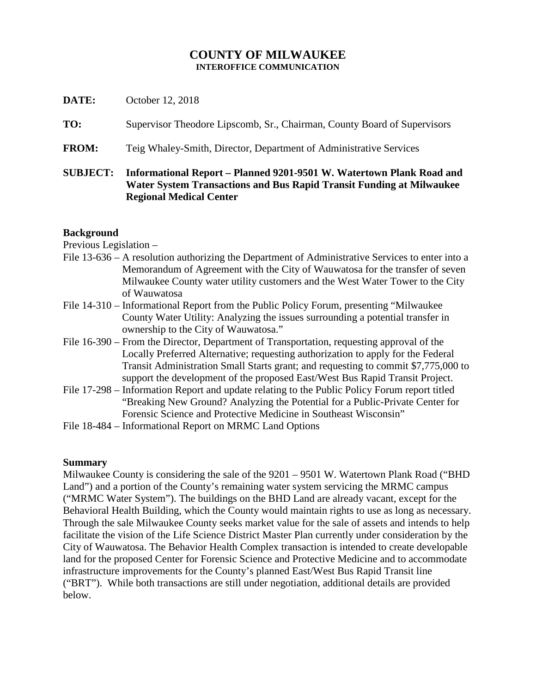## **COUNTY OF MILWAUKEE INTEROFFICE COMMUNICATION**

| <b>SUBJECT:</b> | Informational Report - Planned 9201-9501 W. Watertown Plank Road and<br>Water System Transactions and Bus Rapid Transit Funding at Milwaukee<br><b>Regional Medical Center</b> |
|-----------------|--------------------------------------------------------------------------------------------------------------------------------------------------------------------------------|
| <b>FROM:</b>    | Teig Whaley-Smith, Director, Department of Administrative Services                                                                                                             |
| TO:             | Supervisor Theodore Lipscomb, Sr., Chairman, County Board of Supervisors                                                                                                       |
| DATE:           | October 12, 2018                                                                                                                                                               |

### **Background**

Previous Legislation –

- File 13-636 A resolution authorizing the Department of Administrative Services to enter into a Memorandum of Agreement with the City of Wauwatosa for the transfer of seven Milwaukee County water utility customers and the West Water Tower to the City of Wauwatosa
- File 14-310 Informational Report from the Public Policy Forum, presenting "Milwaukee County Water Utility: Analyzing the issues surrounding a potential transfer in ownership to the City of Wauwatosa."
- File 16-390 From the Director, Department of Transportation, requesting approval of the Locally Preferred Alternative; requesting authorization to apply for the Federal Transit Administration Small Starts grant; and requesting to commit \$7,775,000 to support the development of the proposed East/West Bus Rapid Transit Project.
- File 17-298 Information Report and update relating to the Public Policy Forum report titled "Breaking New Ground? Analyzing the Potential for a Public-Private Center for Forensic Science and Protective Medicine in Southeast Wisconsin"
- File 18-484 Informational Report on MRMC Land Options

# **Summary**

Milwaukee County is considering the sale of the 9201 – 9501 W. Watertown Plank Road ("BHD Land") and a portion of the County's remaining water system servicing the MRMC campus ("MRMC Water System"). The buildings on the BHD Land are already vacant, except for the Behavioral Health Building, which the County would maintain rights to use as long as necessary. Through the sale Milwaukee County seeks market value for the sale of assets and intends to help facilitate the vision of the Life Science District Master Plan currently under consideration by the City of Wauwatosa. The Behavior Health Complex transaction is intended to create developable land for the proposed Center for Forensic Science and Protective Medicine and to accommodate infrastructure improvements for the County's planned East/West Bus Rapid Transit line ("BRT"). While both transactions are still under negotiation, additional details are provided below.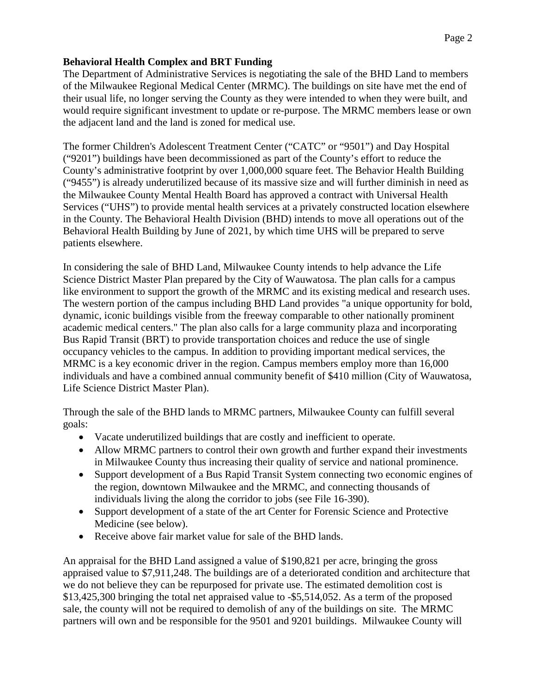# **Behavioral Health Complex and BRT Funding**

The Department of Administrative Services is negotiating the sale of the BHD Land to members of the Milwaukee Regional Medical Center (MRMC). The buildings on site have met the end of their usual life, no longer serving the County as they were intended to when they were built, and would require significant investment to update or re-purpose. The MRMC members lease or own the adjacent land and the land is zoned for medical use.

The former Children's Adolescent Treatment Center ("CATC" or "9501") and Day Hospital ("9201") buildings have been decommissioned as part of the County's effort to reduce the County's administrative footprint by over 1,000,000 square feet. The Behavior Health Building ("9455") is already underutilized because of its massive size and will further diminish in need as the Milwaukee County Mental Health Board has approved a contract with Universal Health Services ("UHS") to provide mental health services at a privately constructed location elsewhere in the County. The Behavioral Health Division (BHD) intends to move all operations out of the Behavioral Health Building by June of 2021, by which time UHS will be prepared to serve patients elsewhere.

In considering the sale of BHD Land, Milwaukee County intends to help advance the Life Science District Master Plan prepared by the City of Wauwatosa. The plan calls for a campus like environment to support the growth of the MRMC and its existing medical and research uses. The western portion of the campus including BHD Land provides "a unique opportunity for bold, dynamic, iconic buildings visible from the freeway comparable to other nationally prominent academic medical centers." The plan also calls for a large community plaza and incorporating Bus Rapid Transit (BRT) to provide transportation choices and reduce the use of single occupancy vehicles to the campus. In addition to providing important medical services, the MRMC is a key economic driver in the region. Campus members employ more than 16,000 individuals and have a combined annual community benefit of \$410 million (City of Wauwatosa, Life Science District Master Plan).

Through the sale of the BHD lands to MRMC partners, Milwaukee County can fulfill several goals:

- Vacate underutilized buildings that are costly and inefficient to operate.
- Allow MRMC partners to control their own growth and further expand their investments in Milwaukee County thus increasing their quality of service and national prominence.
- Support development of a Bus Rapid Transit System connecting two economic engines of the region, downtown Milwaukee and the MRMC, and connecting thousands of individuals living the along the corridor to jobs (see File 16-390).
- Support development of a state of the art Center for Forensic Science and Protective Medicine (see below).
- Receive above fair market value for sale of the BHD lands.

An appraisal for the BHD Land assigned a value of \$190,821 per acre, bringing the gross appraised value to \$7,911,248. The buildings are of a deteriorated condition and architecture that we do not believe they can be repurposed for private use. The estimated demolition cost is \$13,425,300 bringing the total net appraised value to -\$5,514,052. As a term of the proposed sale, the county will not be required to demolish of any of the buildings on site. The MRMC partners will own and be responsible for the 9501 and 9201 buildings. Milwaukee County will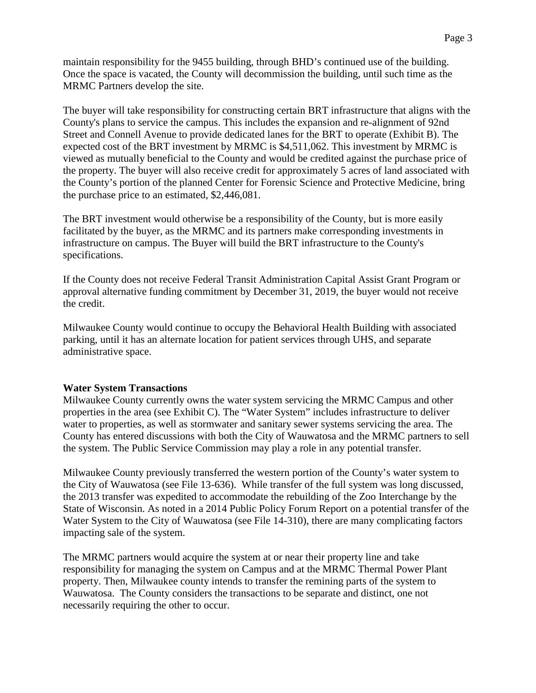maintain responsibility for the 9455 building, through BHD's continued use of the building. Once the space is vacated, the County will decommission the building, until such time as the MRMC Partners develop the site.

The buyer will take responsibility for constructing certain BRT infrastructure that aligns with the County's plans to service the campus. This includes the expansion and re-alignment of 92nd Street and Connell Avenue to provide dedicated lanes for the BRT to operate (Exhibit B). The expected cost of the BRT investment by MRMC is \$4,511,062. This investment by MRMC is viewed as mutually beneficial to the County and would be credited against the purchase price of the property. The buyer will also receive credit for approximately 5 acres of land associated with the County's portion of the planned Center for Forensic Science and Protective Medicine, bring the purchase price to an estimated, \$2,446,081.

The BRT investment would otherwise be a responsibility of the County, but is more easily facilitated by the buyer, as the MRMC and its partners make corresponding investments in infrastructure on campus. The Buyer will build the BRT infrastructure to the County's specifications.

If the County does not receive Federal Transit Administration Capital Assist Grant Program or approval alternative funding commitment by December 31, 2019, the buyer would not receive the credit.

Milwaukee County would continue to occupy the Behavioral Health Building with associated parking, until it has an alternate location for patient services through UHS, and separate administrative space.

### **Water System Transactions**

Milwaukee County currently owns the water system servicing the MRMC Campus and other properties in the area (see Exhibit C). The "Water System" includes infrastructure to deliver water to properties, as well as stormwater and sanitary sewer systems servicing the area. The County has entered discussions with both the City of Wauwatosa and the MRMC partners to sell the system. The Public Service Commission may play a role in any potential transfer.

Milwaukee County previously transferred the western portion of the County's water system to the City of Wauwatosa (see File 13-636). While transfer of the full system was long discussed, the 2013 transfer was expedited to accommodate the rebuilding of the Zoo Interchange by the State of Wisconsin. As noted in a 2014 Public Policy Forum Report on a potential transfer of the Water System to the City of Wauwatosa (see File 14-310), there are many complicating factors impacting sale of the system.

The MRMC partners would acquire the system at or near their property line and take responsibility for managing the system on Campus and at the MRMC Thermal Power Plant property. Then, Milwaukee county intends to transfer the remining parts of the system to Wauwatosa. The County considers the transactions to be separate and distinct, one not necessarily requiring the other to occur.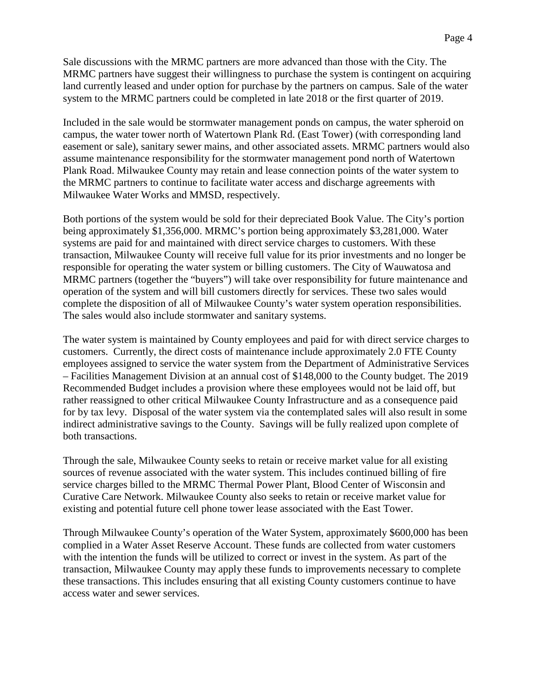Sale discussions with the MRMC partners are more advanced than those with the City. The MRMC partners have suggest their willingness to purchase the system is contingent on acquiring land currently leased and under option for purchase by the partners on campus. Sale of the water system to the MRMC partners could be completed in late 2018 or the first quarter of 2019.

Included in the sale would be stormwater management ponds on campus, the water spheroid on campus, the water tower north of Watertown Plank Rd. (East Tower) (with corresponding land easement or sale), sanitary sewer mains, and other associated assets. MRMC partners would also assume maintenance responsibility for the stormwater management pond north of Watertown Plank Road. Milwaukee County may retain and lease connection points of the water system to the MRMC partners to continue to facilitate water access and discharge agreements with Milwaukee Water Works and MMSD, respectively.

Both portions of the system would be sold for their depreciated Book Value. The City's portion being approximately \$1,356,000. MRMC's portion being approximately \$3,281,000. Water systems are paid for and maintained with direct service charges to customers. With these transaction, Milwaukee County will receive full value for its prior investments and no longer be responsible for operating the water system or billing customers. The City of Wauwatosa and MRMC partners (together the "buyers") will take over responsibility for future maintenance and operation of the system and will bill customers directly for services. These two sales would complete the disposition of all of Milwaukee County's water system operation responsibilities. The sales would also include stormwater and sanitary systems.

The water system is maintained by County employees and paid for with direct service charges to customers. Currently, the direct costs of maintenance include approximately 2.0 FTE County employees assigned to service the water system from the Department of Administrative Services – Facilities Management Division at an annual cost of \$148,000 to the County budget. The 2019 Recommended Budget includes a provision where these employees would not be laid off, but rather reassigned to other critical Milwaukee County Infrastructure and as a consequence paid for by tax levy. Disposal of the water system via the contemplated sales will also result in some indirect administrative savings to the County. Savings will be fully realized upon complete of both transactions.

Through the sale, Milwaukee County seeks to retain or receive market value for all existing sources of revenue associated with the water system. This includes continued billing of fire service charges billed to the MRMC Thermal Power Plant, Blood Center of Wisconsin and Curative Care Network. Milwaukee County also seeks to retain or receive market value for existing and potential future cell phone tower lease associated with the East Tower.

Through Milwaukee County's operation of the Water System, approximately \$600,000 has been complied in a Water Asset Reserve Account. These funds are collected from water customers with the intention the funds will be utilized to correct or invest in the system. As part of the transaction, Milwaukee County may apply these funds to improvements necessary to complete these transactions. This includes ensuring that all existing County customers continue to have access water and sewer services.